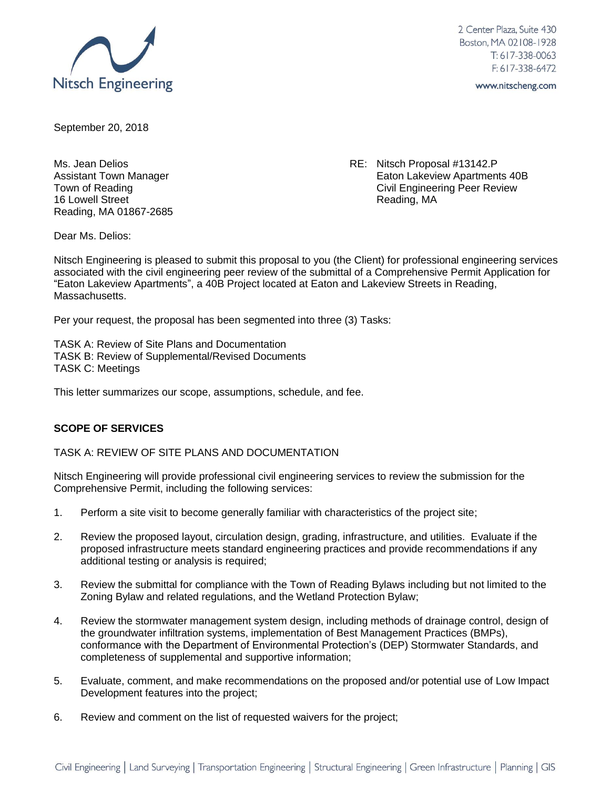

2 Center Plaza, Suite 430 Boston, MA 02108-1928  $T: 617 - 338 - 0063$  $F: 617 - 338 - 6472$ 

www.nitscheng.com

September 20, 2018

16 Lowell Street **Reading**, MA Reading, MA 01867-2685

Ms. Jean Delios **RE: Nitsch Proposal #13142.P** Assistant Town Manager **Accord 2008** Eaton Lakeview Apartments 40B Town of Reading Town of Reading Civil Engineering Peer Review

Dear Ms. Delios:

Nitsch Engineering is pleased to submit this proposal to you (the Client) for professional engineering services associated with the civil engineering peer review of the submittal of a Comprehensive Permit Application for "Eaton Lakeview Apartments", a 40B Project located at Eaton and Lakeview Streets in Reading, Massachusetts.

Per your request, the proposal has been segmented into three (3) Tasks:

TASK A: Review of Site Plans and Documentation TASK B: Review of Supplemental/Revised Documents TASK C: Meetings

This letter summarizes our scope, assumptions, schedule, and fee.

# **SCOPE OF SERVICES**

TASK A: REVIEW OF SITE PLANS AND DOCUMENTATION

Nitsch Engineering will provide professional civil engineering services to review the submission for the Comprehensive Permit, including the following services:

- 1. Perform a site visit to become generally familiar with characteristics of the project site;
- 2. Review the proposed layout, circulation design, grading, infrastructure, and utilities. Evaluate if the proposed infrastructure meets standard engineering practices and provide recommendations if any additional testing or analysis is required;
- 3. Review the submittal for compliance with the Town of Reading Bylaws including but not limited to the Zoning Bylaw and related regulations, and the Wetland Protection Bylaw;
- 4. Review the stormwater management system design, including methods of drainage control, design of the groundwater infiltration systems, implementation of Best Management Practices (BMPs), conformance with the Department of Environmental Protection's (DEP) Stormwater Standards, and completeness of supplemental and supportive information;
- 5. Evaluate, comment, and make recommendations on the proposed and/or potential use of Low Impact Development features into the project;
- 6. Review and comment on the list of requested waivers for the project;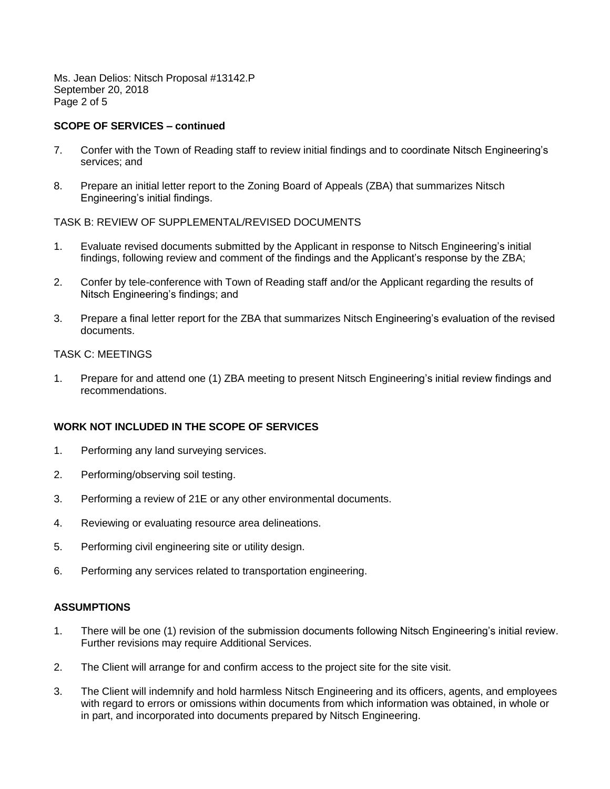Ms. Jean Delios: Nitsch Proposal #13142.P September 20, 2018 Page 2 of 5

# **SCOPE OF SERVICES – continued**

- 7. Confer with the Town of Reading staff to review initial findings and to coordinate Nitsch Engineering's services; and
- 8. Prepare an initial letter report to the Zoning Board of Appeals (ZBA) that summarizes Nitsch Engineering's initial findings.

# TASK B: REVIEW OF SUPPLEMENTAL/REVISED DOCUMENTS

- 1. Evaluate revised documents submitted by the Applicant in response to Nitsch Engineering's initial findings, following review and comment of the findings and the Applicant's response by the ZBA;
- 2. Confer by tele-conference with Town of Reading staff and/or the Applicant regarding the results of Nitsch Engineering's findings; and
- 3. Prepare a final letter report for the ZBA that summarizes Nitsch Engineering's evaluation of the revised documents.

# TASK C: MEETINGS

1. Prepare for and attend one (1) ZBA meeting to present Nitsch Engineering's initial review findings and recommendations.

# **WORK NOT INCLUDED IN THE SCOPE OF SERVICES**

- 1. Performing any land surveying services.
- 2. Performing/observing soil testing.
- 3. Performing a review of 21E or any other environmental documents.
- 4. Reviewing or evaluating resource area delineations.
- 5. Performing civil engineering site or utility design.
- 6. Performing any services related to transportation engineering.

# **ASSUMPTIONS**

- 1. There will be one (1) revision of the submission documents following Nitsch Engineering's initial review. Further revisions may require Additional Services.
- 2. The Client will arrange for and confirm access to the project site for the site visit.
- 3. The Client will indemnify and hold harmless Nitsch Engineering and its officers, agents, and employees with regard to errors or omissions within documents from which information was obtained, in whole or in part, and incorporated into documents prepared by Nitsch Engineering.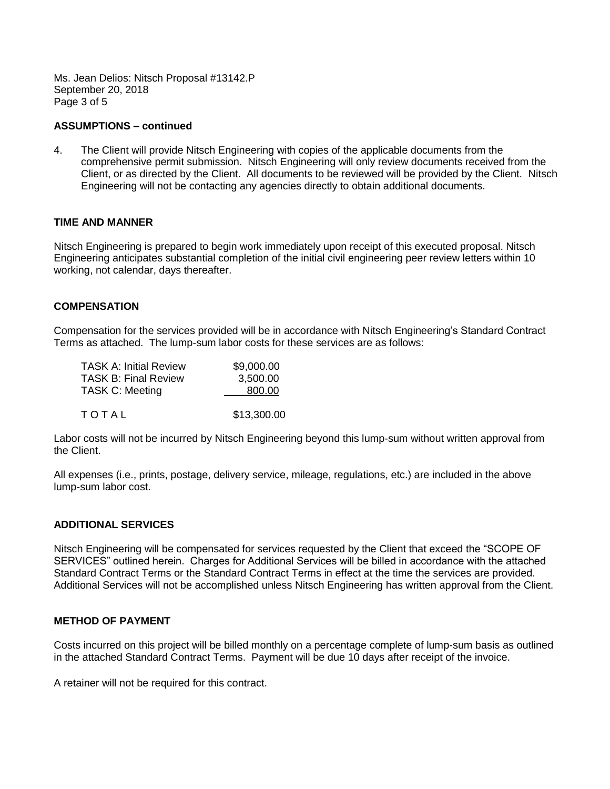Ms. Jean Delios: Nitsch Proposal #13142.P September 20, 2018 Page 3 of 5

## **ASSUMPTIONS – continued**

4. The Client will provide Nitsch Engineering with copies of the applicable documents from the comprehensive permit submission. Nitsch Engineering will only review documents received from the Client, or as directed by the Client. All documents to be reviewed will be provided by the Client. Nitsch Engineering will not be contacting any agencies directly to obtain additional documents.

## **TIME AND MANNER**

Nitsch Engineering is prepared to begin work immediately upon receipt of this executed proposal. Nitsch Engineering anticipates substantial completion of the initial civil engineering peer review letters within 10 working, not calendar, days thereafter.

## **COMPENSATION**

Compensation for the services provided will be in accordance with Nitsch Engineering's Standard Contract Terms as attached. The lump-sum labor costs for these services are as follows:

| <b>TASK A: Initial Review</b> | \$9,000.00  |
|-------------------------------|-------------|
| <b>TASK B: Final Review</b>   | 3,500.00    |
| <b>TASK C: Meeting</b>        | 800.00      |
| TOTAL                         | \$13,300.00 |

Labor costs will not be incurred by Nitsch Engineering beyond this lump-sum without written approval from the Client.

All expenses (i.e., prints, postage, delivery service, mileage, regulations, etc.) are included in the above lump-sum labor cost.

## **ADDITIONAL SERVICES**

Nitsch Engineering will be compensated for services requested by the Client that exceed the "SCOPE OF SERVICES" outlined herein. Charges for Additional Services will be billed in accordance with the attached Standard Contract Terms or the Standard Contract Terms in effect at the time the services are provided. Additional Services will not be accomplished unless Nitsch Engineering has written approval from the Client.

## **METHOD OF PAYMENT**

Costs incurred on this project will be billed monthly on a percentage complete of lump-sum basis as outlined in the attached Standard Contract Terms. Payment will be due 10 days after receipt of the invoice.

A retainer will not be required for this contract.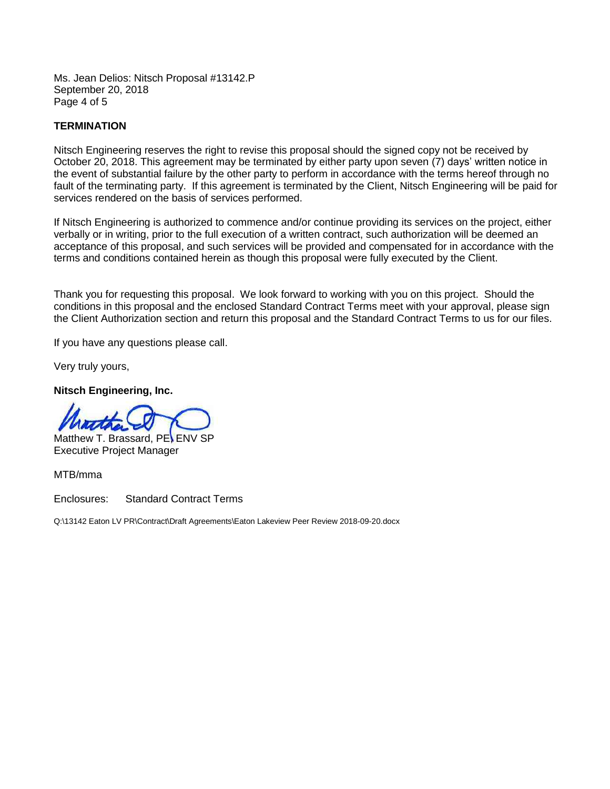Ms. Jean Delios: Nitsch Proposal #13142.P September 20, 2018 Page 4 of 5

# **TERMINATION**

Nitsch Engineering reserves the right to revise this proposal should the signed copy not be received by October 20, 2018. This agreement may be terminated by either party upon seven (7) days' written notice in the event of substantial failure by the other party to perform in accordance with the terms hereof through no fault of the terminating party. If this agreement is terminated by the Client, Nitsch Engineering will be paid for services rendered on the basis of services performed.

If Nitsch Engineering is authorized to commence and/or continue providing its services on the project, either verbally or in writing, prior to the full execution of a written contract, such authorization will be deemed an acceptance of this proposal, and such services will be provided and compensated for in accordance with the terms and conditions contained herein as though this proposal were fully executed by the Client.

Thank you for requesting this proposal. We look forward to working with you on this project. Should the conditions in this proposal and the enclosed Standard Contract Terms meet with your approval, please sign the Client Authorization section and return this proposal and the Standard Contract Terms to us for our files.

If you have any questions please call.

Very truly yours,

**Nitsch Engineering, Inc.**

Matthew T. Brassard, PE, ENV SP Executive Project Manager

MTB/mma

Enclosures: Standard Contract Terms

Q:\13142 Eaton LV PR\Contract\Draft Agreements\Eaton Lakeview Peer Review 2018-09-20.docx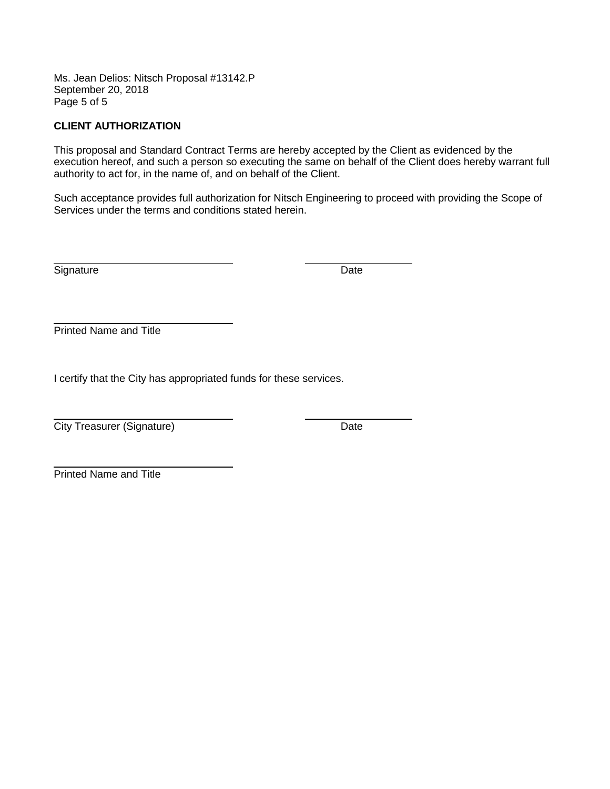Ms. Jean Delios: Nitsch Proposal #13142.P September 20, 2018 Page 5 of 5

# **CLIENT AUTHORIZATION**

This proposal and Standard Contract Terms are hereby accepted by the Client as evidenced by the execution hereof, and such a person so executing the same on behalf of the Client does hereby warrant full authority to act for, in the name of, and on behalf of the Client.

Such acceptance provides full authorization for Nitsch Engineering to proceed with providing the Scope of Services under the terms and conditions stated herein.

Signature Date **Date** 

Printed Name and Title

I certify that the City has appropriated funds for these services.

**City Treasurer (Signature)** Date

Printed Name and Title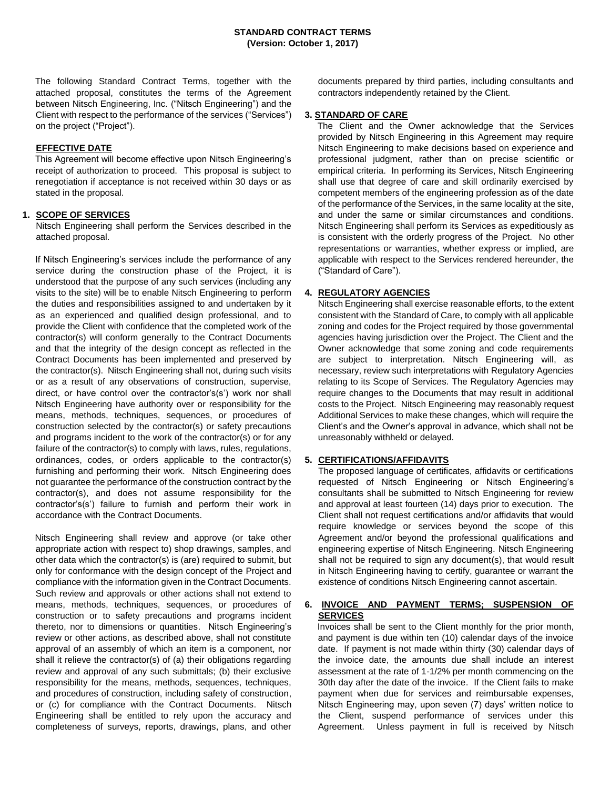The following Standard Contract Terms, together with the attached proposal, constitutes the terms of the Agreement between Nitsch Engineering, Inc. ("Nitsch Engineering") and the Client with respect to the performance of the services ("Services") on the project ("Project").

## **EFFECTIVE DATE**

This Agreement will become effective upon Nitsch Engineering's receipt of authorization to proceed. This proposal is subject to renegotiation if acceptance is not received within 30 days or as stated in the proposal.

### **1. SCOPE OF SERVICES**

Nitsch Engineering shall perform the Services described in the attached proposal.

If Nitsch Engineering's services include the performance of any service during the construction phase of the Project, it is understood that the purpose of any such services (including any visits to the site) will be to enable Nitsch Engineering to perform the duties and responsibilities assigned to and undertaken by it as an experienced and qualified design professional, and to provide the Client with confidence that the completed work of the contractor(s) will conform generally to the Contract Documents and that the integrity of the design concept as reflected in the Contract Documents has been implemented and preserved by the contractor(s). Nitsch Engineering shall not, during such visits or as a result of any observations of construction, supervise, direct, or have control over the contractor's(s') work nor shall Nitsch Engineering have authority over or responsibility for the means, methods, techniques, sequences, or procedures of construction selected by the contractor(s) or safety precautions and programs incident to the work of the contractor(s) or for any failure of the contractor(s) to comply with laws, rules, regulations, ordinances, codes, or orders applicable to the contractor(s) furnishing and performing their work. Nitsch Engineering does not guarantee the performance of the construction contract by the contractor(s), and does not assume responsibility for the contractor's(s') failure to furnish and perform their work in accordance with the Contract Documents.

Nitsch Engineering shall review and approve (or take other appropriate action with respect to) shop drawings, samples, and other data which the contractor(s) is (are) required to submit, but only for conformance with the design concept of the Project and compliance with the information given in the Contract Documents. Such review and approvals or other actions shall not extend to means, methods, techniques, sequences, or procedures of construction or to safety precautions and programs incident thereto, nor to dimensions or quantities. Nitsch Engineering's review or other actions, as described above, shall not constitute approval of an assembly of which an item is a component, nor shall it relieve the contractor(s) of (a) their obligations regarding review and approval of any such submittals; (b) their exclusive responsibility for the means, methods, sequences, techniques, and procedures of construction, including safety of construction, or (c) for compliance with the Contract Documents. Nitsch Engineering shall be entitled to rely upon the accuracy and completeness of surveys, reports, drawings, plans, and other

documents prepared by third parties, including consultants and contractors independently retained by the Client.

## **3. STANDARD OF CARE**

The Client and the Owner acknowledge that the Services provided by Nitsch Engineering in this Agreement may require Nitsch Engineering to make decisions based on experience and professional judgment, rather than on precise scientific or empirical criteria. In performing its Services, Nitsch Engineering shall use that degree of care and skill ordinarily exercised by competent members of the engineering profession as of the date of the performance of the Services, in the same locality at the site, and under the same or similar circumstances and conditions. Nitsch Engineering shall perform its Services as expeditiously as is consistent with the orderly progress of the Project. No other representations or warranties, whether express or implied, are applicable with respect to the Services rendered hereunder, the ("Standard of Care").

### **4. REGULATORY AGENCIES**

Nitsch Engineering shall exercise reasonable efforts, to the extent consistent with the Standard of Care, to comply with all applicable zoning and codes for the Project required by those governmental agencies having jurisdiction over the Project. The Client and the Owner acknowledge that some zoning and code requirements are subject to interpretation. Nitsch Engineering will, as necessary, review such interpretations with Regulatory Agencies relating to its Scope of Services. The Regulatory Agencies may require changes to the Documents that may result in additional costs to the Project. Nitsch Engineering may reasonably request Additional Services to make these changes, which will require the Client's and the Owner's approval in advance, which shall not be unreasonably withheld or delayed.

### **5. CERTIFICATIONS/AFFIDAVITS**

The proposed language of certificates, affidavits or certifications requested of Nitsch Engineering or Nitsch Engineering's consultants shall be submitted to Nitsch Engineering for review and approval at least fourteen (14) days prior to execution. The Client shall not request certifications and/or affidavits that would require knowledge or services beyond the scope of this Agreement and/or beyond the professional qualifications and engineering expertise of Nitsch Engineering. Nitsch Engineering shall not be required to sign any document(s), that would result in Nitsch Engineering having to certify, guarantee or warrant the existence of conditions Nitsch Engineering cannot ascertain.

## **6. INVOICE AND PAYMENT TERMS; SUSPENSION OF SERVICES**

Invoices shall be sent to the Client monthly for the prior month, and payment is due within ten (10) calendar days of the invoice date. If payment is not made within thirty (30) calendar days of the invoice date, the amounts due shall include an interest assessment at the rate of 1-1/2% per month commencing on the 30th day after the date of the invoice. If the Client fails to make payment when due for services and reimbursable expenses, Nitsch Engineering may, upon seven (7) days' written notice to the Client, suspend performance of services under this Agreement. Unless payment in full is received by Nitsch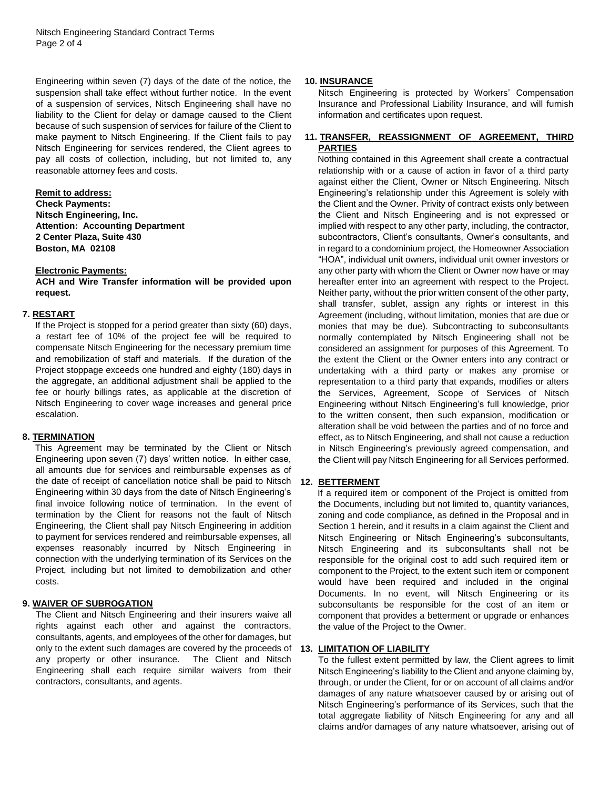Engineering within seven (7) days of the date of the notice, the suspension shall take effect without further notice. In the event of a suspension of services, Nitsch Engineering shall have no liability to the Client for delay or damage caused to the Client because of such suspension of services for failure of the Client to make payment to Nitsch Engineering. If the Client fails to pay Nitsch Engineering for services rendered, the Client agrees to pay all costs of collection, including, but not limited to, any reasonable attorney fees and costs.

### **Remit to address:**

**Check Payments: Nitsch Engineering, Inc. Attention: Accounting Department 2 Center Plaza, Suite 430 Boston, MA 02108**

#### **Electronic Payments:**

**ACH and Wire Transfer information will be provided upon request.**

### **7. RESTART**

If the Project is stopped for a period greater than sixty (60) days, a restart fee of 10% of the project fee will be required to compensate Nitsch Engineering for the necessary premium time and remobilization of staff and materials. If the duration of the Project stoppage exceeds one hundred and eighty (180) days in the aggregate, an additional adjustment shall be applied to the fee or hourly billings rates, as applicable at the discretion of Nitsch Engineering to cover wage increases and general price escalation.

### **8. TERMINATION**

This Agreement may be terminated by the Client or Nitsch Engineering upon seven (7) days' written notice. In either case, all amounts due for services and reimbursable expenses as of the date of receipt of cancellation notice shall be paid to Nitsch Engineering within 30 days from the date of Nitsch Engineering's final invoice following notice of termination. In the event of termination by the Client for reasons not the fault of Nitsch Engineering, the Client shall pay Nitsch Engineering in addition to payment for services rendered and reimbursable expenses, all expenses reasonably incurred by Nitsch Engineering in connection with the underlying termination of its Services on the Project, including but not limited to demobilization and other costs.

### **9. WAIVER OF SUBROGATION**

The Client and Nitsch Engineering and their insurers waive all rights against each other and against the contractors, consultants, agents, and employees of the other for damages, but only to the extent such damages are covered by the proceeds of **13. LIMITATION OF LIABILITY**  any property or other insurance. The Client and Nitsch Engineering shall each require similar waivers from their contractors, consultants, and agents.

### **10. INSURANCE**

Nitsch Engineering is protected by Workers' Compensation Insurance and Professional Liability Insurance, and will furnish information and certificates upon request.

## **11. TRANSFER, REASSIGNMENT OF AGREEMENT, THIRD PARTIES**

Nothing contained in this Agreement shall create a contractual relationship with or a cause of action in favor of a third party against either the Client, Owner or Nitsch Engineering. Nitsch Engineering's relationship under this Agreement is solely with the Client and the Owner. Privity of contract exists only between the Client and Nitsch Engineering and is not expressed or implied with respect to any other party, including, the contractor, subcontractors, Client's consultants, Owner's consultants, and in regard to a condominium project, the Homeowner Association "HOA", individual unit owners, individual unit owner investors or any other party with whom the Client or Owner now have or may hereafter enter into an agreement with respect to the Project. Neither party, without the prior written consent of the other party, shall transfer, sublet, assign any rights or interest in this Agreement (including, without limitation, monies that are due or monies that may be due). Subcontracting to subconsultants normally contemplated by Nitsch Engineering shall not be considered an assignment for purposes of this Agreement. To the extent the Client or the Owner enters into any contract or undertaking with a third party or makes any promise or representation to a third party that expands, modifies or alters the Services, Agreement, Scope of Services of Nitsch Engineering without Nitsch Engineering's full knowledge, prior to the written consent, then such expansion, modification or alteration shall be void between the parties and of no force and effect, as to Nitsch Engineering, and shall not cause a reduction in Nitsch Engineering's previously agreed compensation, and the Client will pay Nitsch Engineering for all Services performed.

### **12. BETTERMENT**

If a required item or component of the Project is omitted from the Documents, including but not limited to, quantity variances, zoning and code compliance, as defined in the Proposal and in Section 1 herein, and it results in a claim against the Client and Nitsch Engineering or Nitsch Engineering's subconsultants, Nitsch Engineering and its subconsultants shall not be responsible for the original cost to add such required item or component to the Project, to the extent such item or component would have been required and included in the original Documents. In no event, will Nitsch Engineering or its subconsultants be responsible for the cost of an item or component that provides a betterment or upgrade or enhances the value of the Project to the Owner.

To the fullest extent permitted by law, the Client agrees to limit Nitsch Engineering's liability to the Client and anyone claiming by, through, or under the Client, for or on account of all claims and/or damages of any nature whatsoever caused by or arising out of Nitsch Engineering's performance of its Services, such that the total aggregate liability of Nitsch Engineering for any and all claims and/or damages of any nature whatsoever, arising out of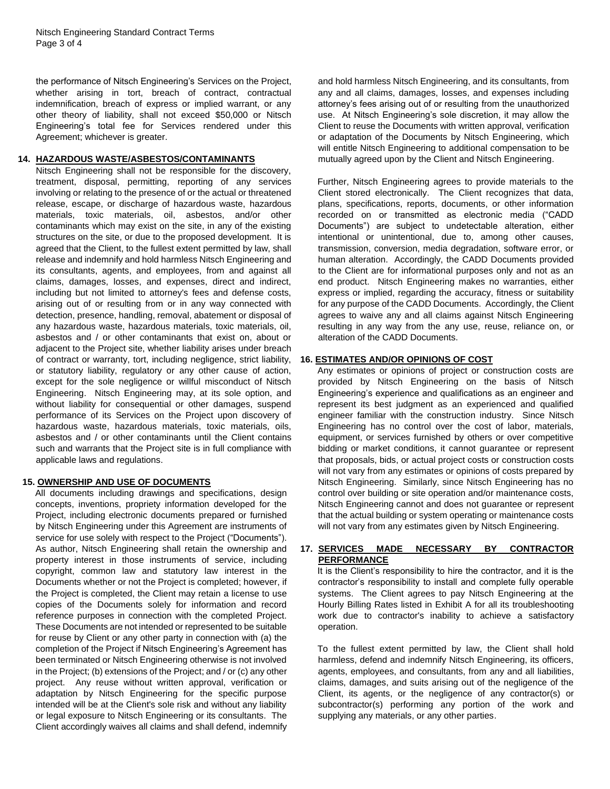the performance of Nitsch Engineering's Services on the Project, whether arising in tort, breach of contract, contractual indemnification, breach of express or implied warrant, or any other theory of liability, shall not exceed \$50,000 or Nitsch Engineering's total fee for Services rendered under this Agreement; whichever is greater.

## **14. HAZARDOUS WASTE/ASBESTOS/CONTAMINANTS**

Nitsch Engineering shall not be responsible for the discovery, treatment, disposal, permitting, reporting of any services involving or relating to the presence of or the actual or threatened release, escape, or discharge of hazardous waste, hazardous materials, toxic materials, oil, asbestos, and/or other contaminants which may exist on the site, in any of the existing structures on the site, or due to the proposed development. It is agreed that the Client, to the fullest extent permitted by law, shall release and indemnify and hold harmless Nitsch Engineering and its consultants, agents, and employees, from and against all claims, damages, losses, and expenses, direct and indirect, including but not limited to attorney's fees and defense costs, arising out of or resulting from or in any way connected with detection, presence, handling, removal, abatement or disposal of any hazardous waste, hazardous materials, toxic materials, oil, asbestos and / or other contaminants that exist on, about or adjacent to the Project site, whether liability arises under breach of contract or warranty, tort, including negligence, strict liability, or statutory liability, regulatory or any other cause of action, except for the sole negligence or willful misconduct of Nitsch Engineering. Nitsch Engineering may, at its sole option, and without liability for consequential or other damages, suspend performance of its Services on the Project upon discovery of hazardous waste, hazardous materials, toxic materials, oils, asbestos and / or other contaminants until the Client contains such and warrants that the Project site is in full compliance with applicable laws and regulations.

# **15. OWNERSHIP AND USE OF DOCUMENTS**

All documents including drawings and specifications, design concepts, inventions, propriety information developed for the Project, including electronic documents prepared or furnished by Nitsch Engineering under this Agreement are instruments of service for use solely with respect to the Project ("Documents"). As author, Nitsch Engineering shall retain the ownership and property interest in those instruments of service, including copyright, common law and statutory law interest in the Documents whether or not the Project is completed; however, if the Project is completed, the Client may retain a license to use copies of the Documents solely for information and record reference purposes in connection with the completed Project. These Documents are not intended or represented to be suitable for reuse by Client or any other party in connection with (a) the completion of the Project if Nitsch Engineering's Agreement has been terminated or Nitsch Engineering otherwise is not involved in the Project; (b) extensions of the Project; and / or (c) any other project. Any reuse without written approval, verification or adaptation by Nitsch Engineering for the specific purpose intended will be at the Client's sole risk and without any liability or legal exposure to Nitsch Engineering or its consultants. The Client accordingly waives all claims and shall defend, indemnify

and hold harmless Nitsch Engineering, and its consultants, from any and all claims, damages, losses, and expenses including attorney's fees arising out of or resulting from the unauthorized use. At Nitsch Engineering's sole discretion, it may allow the Client to reuse the Documents with written approval, verification or adaptation of the Documents by Nitsch Engineering, which will entitle Nitsch Engineering to additional compensation to be mutually agreed upon by the Client and Nitsch Engineering.

Further, Nitsch Engineering agrees to provide materials to the Client stored electronically. The Client recognizes that data, plans, specifications, reports, documents, or other information recorded on or transmitted as electronic media ("CADD Documents") are subject to undetectable alteration, either intentional or unintentional, due to, among other causes, transmission, conversion, media degradation, software error, or human alteration. Accordingly, the CADD Documents provided to the Client are for informational purposes only and not as an end product. Nitsch Engineering makes no warranties, either express or implied, regarding the accuracy, fitness or suitability for any purpose of the CADD Documents. Accordingly, the Client agrees to waive any and all claims against Nitsch Engineering resulting in any way from the any use, reuse, reliance on, or alteration of the CADD Documents.

## **16. ESTIMATES AND/OR OPINIONS OF COST**

Any estimates or opinions of project or construction costs are provided by Nitsch Engineering on the basis of Nitsch Engineering's experience and qualifications as an engineer and represent its best judgment as an experienced and qualified engineer familiar with the construction industry. Since Nitsch Engineering has no control over the cost of labor, materials, equipment, or services furnished by others or over competitive bidding or market conditions, it cannot guarantee or represent that proposals, bids, or actual project costs or construction costs will not vary from any estimates or opinions of costs prepared by Nitsch Engineering. Similarly, since Nitsch Engineering has no control over building or site operation and/or maintenance costs, Nitsch Engineering cannot and does not guarantee or represent that the actual building or system operating or maintenance costs will not vary from any estimates given by Nitsch Engineering.

## **17. SERVICES MADE NECESSARY BY CONTRACTOR PERFORMANCE**

It is the Client's responsibility to hire the contractor, and it is the contractor's responsibility to install and complete fully operable systems. The Client agrees to pay Nitsch Engineering at the Hourly Billing Rates listed in Exhibit A for all its troubleshooting work due to contractor's inability to achieve a satisfactory operation.

To the fullest extent permitted by law, the Client shall hold harmless, defend and indemnify Nitsch Engineering, its officers, agents, employees, and consultants, from any and all liabilities, claims, damages, and suits arising out of the negligence of the Client, its agents, or the negligence of any contractor(s) or subcontractor(s) performing any portion of the work and supplying any materials, or any other parties.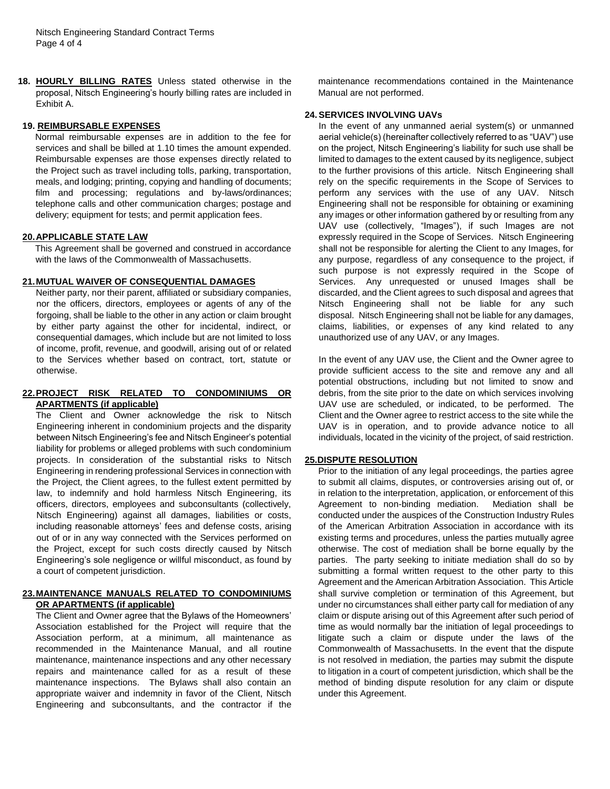**18. HOURLY BILLING RATES** Unless stated otherwise in the proposal, Nitsch Engineering's hourly billing rates are included in Exhibit A.

#### **19. REIMBURSABLE EXPENSES**

Normal reimbursable expenses are in addition to the fee for services and shall be billed at 1.10 times the amount expended. Reimbursable expenses are those expenses directly related to the Project such as travel including tolls, parking, transportation, meals, and lodging; printing, copying and handling of documents; film and processing; regulations and by-laws/ordinances; telephone calls and other communication charges; postage and delivery; equipment for tests; and permit application fees.

#### **20.APPLICABLE STATE LAW**

This Agreement shall be governed and construed in accordance with the laws of the Commonwealth of Massachusetts.

## **21.MUTUAL WAIVER OF CONSEQUENTIAL DAMAGES**

Neither party, nor their parent, affiliated or subsidiary companies, nor the officers, directors, employees or agents of any of the forgoing, shall be liable to the other in any action or claim brought by either party against the other for incidental, indirect, or consequential damages, which include but are not limited to loss of income, profit, revenue, and goodwill, arising out of or related to the Services whether based on contract, tort, statute or otherwise.

### **22.PROJECT RISK RELATED TO CONDOMINIUMS OR APARTMENTS (if applicable)**

The Client and Owner acknowledge the risk to Nitsch Engineering inherent in condominium projects and the disparity between Nitsch Engineering's fee and Nitsch Engineer's potential liability for problems or alleged problems with such condominium projects. In consideration of the substantial risks to Nitsch Engineering in rendering professional Services in connection with the Project, the Client agrees, to the fullest extent permitted by law, to indemnify and hold harmless Nitsch Engineering, its officers, directors, employees and subconsultants (collectively, Nitsch Engineering) against all damages, liabilities or costs, including reasonable attorneys' fees and defense costs, arising out of or in any way connected with the Services performed on the Project, except for such costs directly caused by Nitsch Engineering's sole negligence or willful misconduct, as found by a court of competent jurisdiction.

## **23.MAINTENANCE MANUALS RELATED TO CONDOMINIUMS OR APARTMENTS (if applicable)**

The Client and Owner agree that the Bylaws of the Homeowners' Association established for the Project will require that the Association perform, at a minimum, all maintenance as recommended in the Maintenance Manual, and all routine maintenance, maintenance inspections and any other necessary repairs and maintenance called for as a result of these maintenance inspections. The Bylaws shall also contain an appropriate waiver and indemnity in favor of the Client, Nitsch Engineering and subconsultants, and the contractor if the

maintenance recommendations contained in the Maintenance Manual are not performed.

## **24.SERVICES INVOLVING UAVs**

In the event of any unmanned aerial system(s) or unmanned aerial vehicle(s) (hereinafter collectively referred to as "UAV") use on the project, Nitsch Engineering's liability for such use shall be limited to damages to the extent caused by its negligence, subject to the further provisions of this article. Nitsch Engineering shall rely on the specific requirements in the Scope of Services to perform any services with the use of any UAV. Nitsch Engineering shall not be responsible for obtaining or examining any images or other information gathered by or resulting from any UAV use (collectively, "Images"), if such Images are not expressly required in the Scope of Services. Nitsch Engineering shall not be responsible for alerting the Client to any Images, for any purpose, regardless of any consequence to the project, if such purpose is not expressly required in the Scope of Services. Any unrequested or unused Images shall be discarded, and the Client agrees to such disposal and agrees that Nitsch Engineering shall not be liable for any such disposal. Nitsch Engineering shall not be liable for any damages, claims, liabilities, or expenses of any kind related to any unauthorized use of any UAV, or any Images.

In the event of any UAV use, the Client and the Owner agree to provide sufficient access to the site and remove any and all potential obstructions, including but not limited to snow and debris, from the site prior to the date on which services involving UAV use are scheduled, or indicated, to be performed. The Client and the Owner agree to restrict access to the site while the UAV is in operation, and to provide advance notice to all individuals, located in the vicinity of the project, of said restriction.

#### **25.DISPUTE RESOLUTION**

Prior to the initiation of any legal proceedings, the parties agree to submit all claims, disputes, or controversies arising out of, or in relation to the interpretation, application, or enforcement of this Agreement to non-binding mediation. Mediation shall be conducted under the auspices of the Construction Industry Rules of the American Arbitration Association in accordance with its existing terms and procedures, unless the parties mutually agree otherwise. The cost of mediation shall be borne equally by the parties. The party seeking to initiate mediation shall do so by submitting a formal written request to the other party to this Agreement and the American Arbitration Association. This Article shall survive completion or termination of this Agreement, but under no circumstances shall either party call for mediation of any claim or dispute arising out of this Agreement after such period of time as would normally bar the initiation of legal proceedings to litigate such a claim or dispute under the laws of the Commonwealth of Massachusetts. In the event that the dispute is not resolved in mediation, the parties may submit the dispute to litigation in a court of competent jurisdiction, which shall be the method of binding dispute resolution for any claim or dispute under this Agreement.